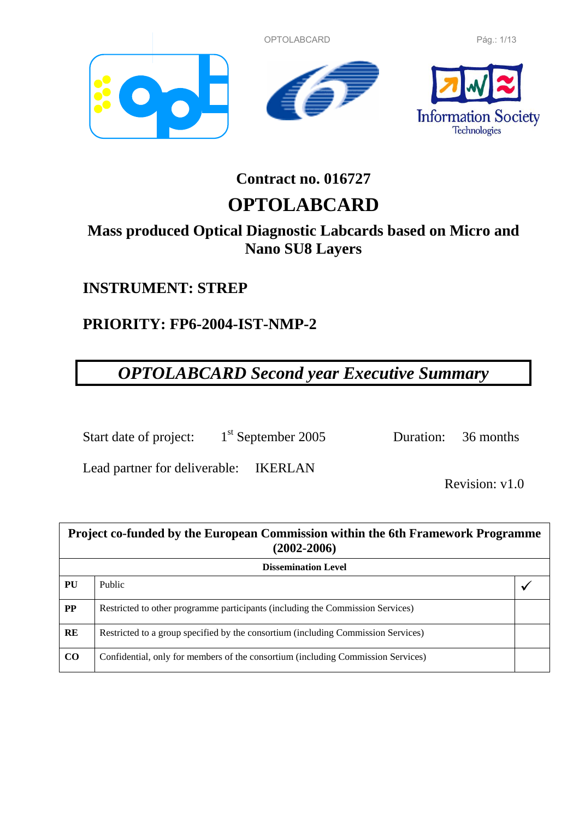OPTOLABCARD Pág.: 1/13







# **Contract no. 016727**

# **OPTOLABCARD**

## **Mass produced Optical Diagnostic Labcards based on Micro and Nano SU8 Layers**

## **INSTRUMENT: STREP**

# **PRIORITY: FP6-2004-IST-NMP-2**

# *OPTOLABCARD Second year Executive Summary*

Start date of project: 1<sup>st</sup> September 2005 Duration: 36 months

Lead partner for deliverable: IKERLAN

Revision: v1.0

| Project co-funded by the European Commission within the 6th Framework Programme<br>$(2002 - 2006)$ |                                                                                   |  |  |
|----------------------------------------------------------------------------------------------------|-----------------------------------------------------------------------------------|--|--|
| <b>Dissemination Level</b>                                                                         |                                                                                   |  |  |
| PU                                                                                                 | Public                                                                            |  |  |
| <b>PP</b>                                                                                          | Restricted to other programme participants (including the Commission Services)    |  |  |
| RE                                                                                                 | Restricted to a group specified by the consortium (including Commission Services) |  |  |
| CO                                                                                                 | Confidential, only for members of the consortium (including Commission Services)  |  |  |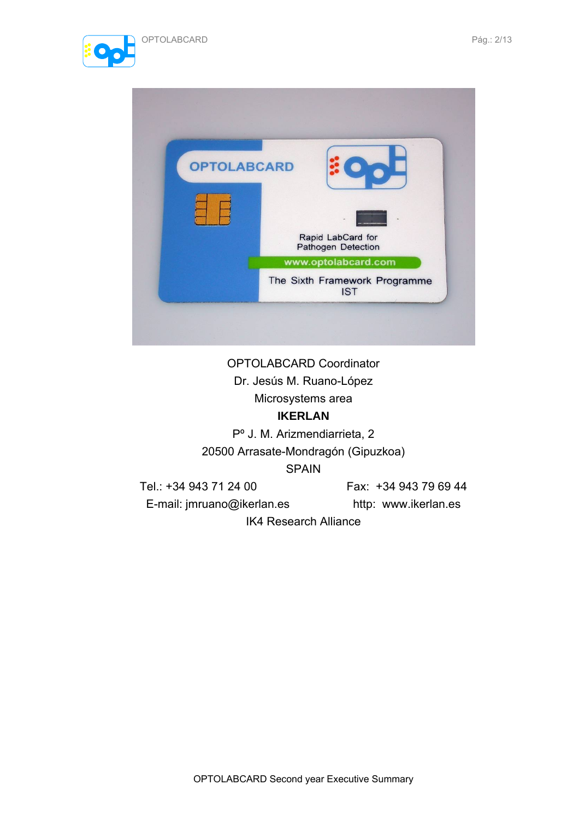





## OPTOLABCARD Coordinator Dr. Jesús M. Ruano-López Microsystems area

## **IKERLAN**

Pº J. M. Arizmendiarrieta, 2 20500 Arrasate-Mondragón (Gipuzkoa) SPAIN

Tel.: +34 943 71 24 00 Fax: +34 943 79 69 44

E-mail: jmruano@ikerlan.es http: www.ikerlan.es

IK4 Research Alliance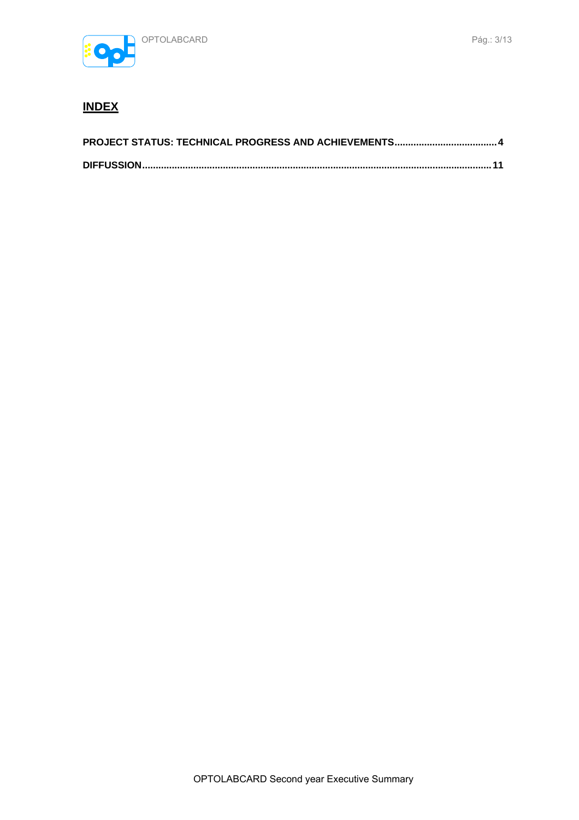

## **INDEX**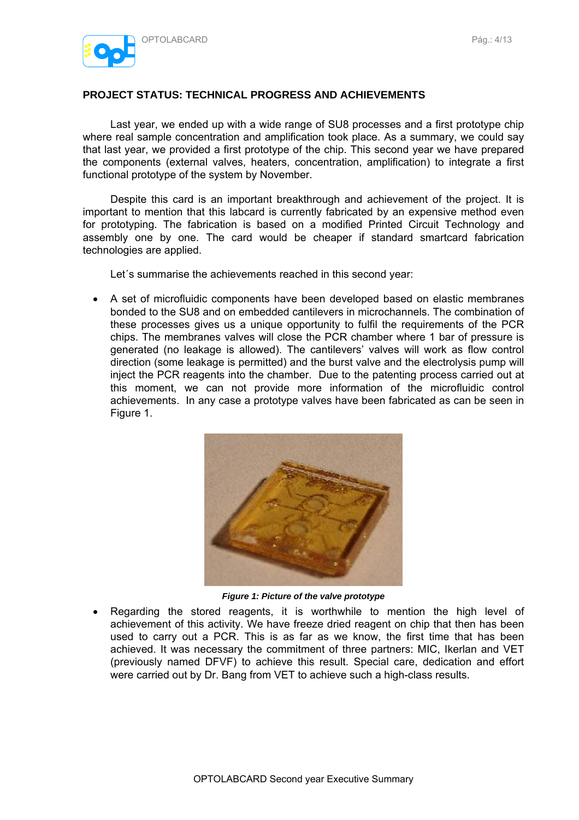

### **PROJECT STATUS: TECHNICAL PROGRESS AND ACHIEVEMENTS**

Last year, we ended up with a wide range of SU8 processes and a first prototype chip where real sample concentration and amplification took place. As a summary, we could say that last year, we provided a first prototype of the chip. This second year we have prepared the components (external valves, heaters, concentration, amplification) to integrate a first functional prototype of the system by November.

Despite this card is an important breakthrough and achievement of the project. It is important to mention that this labcard is currently fabricated by an expensive method even for prototyping. The fabrication is based on a modified Printed Circuit Technology and assembly one by one. The card would be cheaper if standard smartcard fabrication technologies are applied.

Let´s summarise the achievements reached in this second year:

• A set of microfluidic components have been developed based on elastic membranes bonded to the SU8 and on embedded cantilevers in microchannels. The combination of these processes gives us a unique opportunity to fulfil the requirements of the PCR chips. The membranes valves will close the PCR chamber where 1 bar of pressure is generated (no leakage is allowed). The cantilevers' valves will work as flow control direction (some leakage is permitted) and the burst valve and the electrolysis pump will inject the PCR reagents into the chamber. Due to the patenting process carried out at this moment, we can not provide more information of the microfluidic control achievements. In any case a prototype valves have been fabricated as can be seen in Figure 1.



*Figure 1: Picture of the valve prototype* 

• Regarding the stored reagents, it is worthwhile to mention the high level of achievement of this activity. We have freeze dried reagent on chip that then has been used to carry out a PCR. This is as far as we know, the first time that has been achieved. It was necessary the commitment of three partners: MIC, Ikerlan and VET (previously named DFVF) to achieve this result. Special care, dedication and effort were carried out by Dr. Bang from VET to achieve such a high-class results.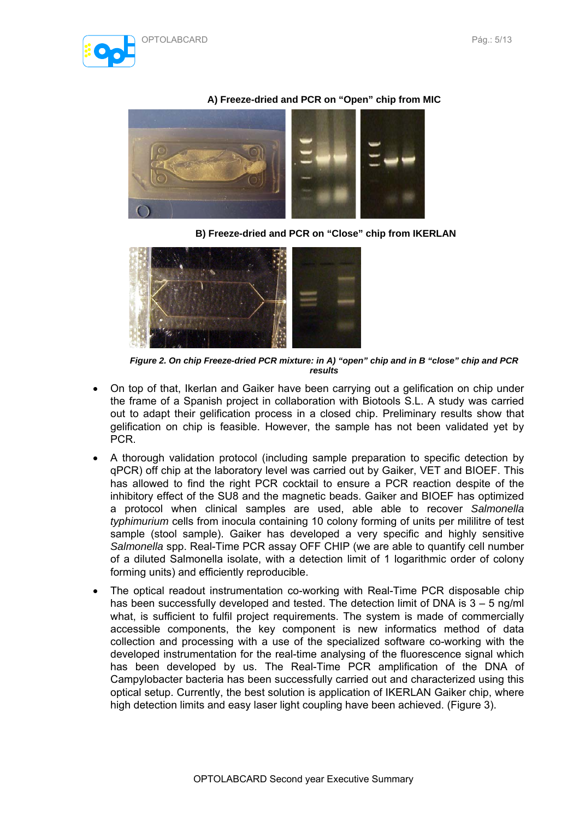

### **A) Freeze-dried and PCR on "Open" chip from MIC**



**B) Freeze-dried and PCR on "Close" chip from IKERLAN**



*Figure 2. On chip Freeze-dried PCR mixture: in A) "open" chip and in B "close" chip and PCR results* 

- On top of that, Ikerlan and Gaiker have been carrying out a gelification on chip under the frame of a Spanish project in collaboration with Biotools S.L. A study was carried out to adapt their gelification process in a closed chip. Preliminary results show that gelification on chip is feasible. However, the sample has not been validated yet by PCR.
- A thorough validation protocol (including sample preparation to specific detection by qPCR) off chip at the laboratory level was carried out by Gaiker, VET and BIOEF. This has allowed to find the right PCR cocktail to ensure a PCR reaction despite of the inhibitory effect of the SU8 and the magnetic beads. Gaiker and BIOEF has optimized a protocol when clinical samples are used, able able to recover *Salmonella typhimurium* cells from inocula containing 10 colony forming of units per mililitre of test sample (stool sample). Gaiker has developed a very specific and highly sensitive *Salmonella* spp. Real-Time PCR assay OFF CHIP (we are able to quantify cell number of a diluted Salmonella isolate, with a detection limit of 1 logarithmic order of colony forming units) and efficiently reproducible.
- The optical readout instrumentation co-working with Real-Time PCR disposable chip has been successfully developed and tested. The detection limit of DNA is  $3 - 5$  ng/ml what, is sufficient to fulfil project requirements. The system is made of commercially accessible components, the key component is new informatics method of data collection and processing with a use of the specialized software co-working with the developed instrumentation for the real-time analysing of the fluorescence signal which has been developed by us. The Real-Time PCR amplification of the DNA of Campylobacter bacteria has been successfully carried out and characterized using this optical setup. Currently, the best solution is application of IKERLAN Gaiker chip, where high detection limits and easy laser light coupling have been achieved. (Figure 3).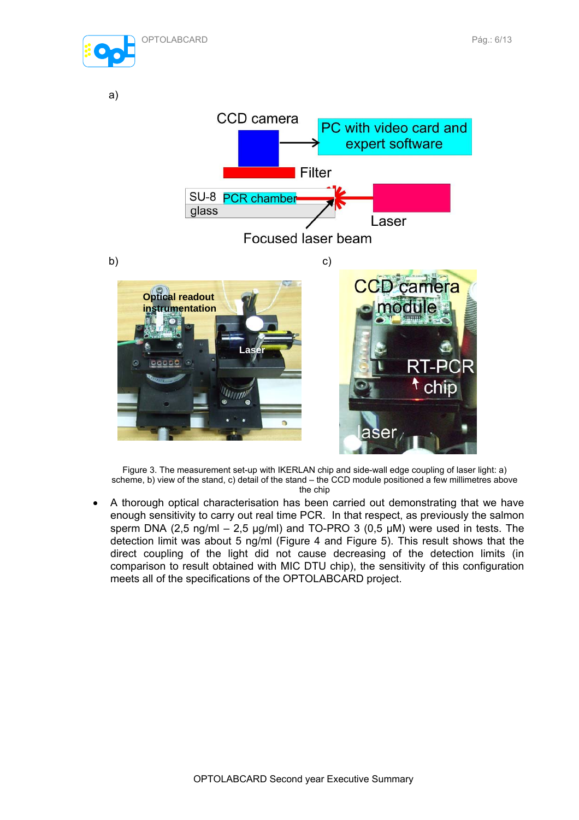



Figure 3. The measurement set-up with IKERLAN chip and side-wall edge coupling of laser light: a) scheme, b) view of the stand, c) detail of the stand – the CCD module positioned a few millimetres above the chip

• A thorough optical characterisation has been carried out demonstrating that we have enough sensitivity to carry out real time PCR. In that respect, as previously the salmon sperm DNA (2,5 ng/ml – 2,5 µg/ml) and TO-PRO 3 (0,5 µM) were used in tests. The detection limit was about 5 ng/ml (Figure 4 and Figure 5). This result shows that the direct coupling of the light did not cause decreasing of the detection limits (in comparison to result obtained with MIC DTU chip), the sensitivity of this configuration meets all of the specifications of the OPTOLABCARD project.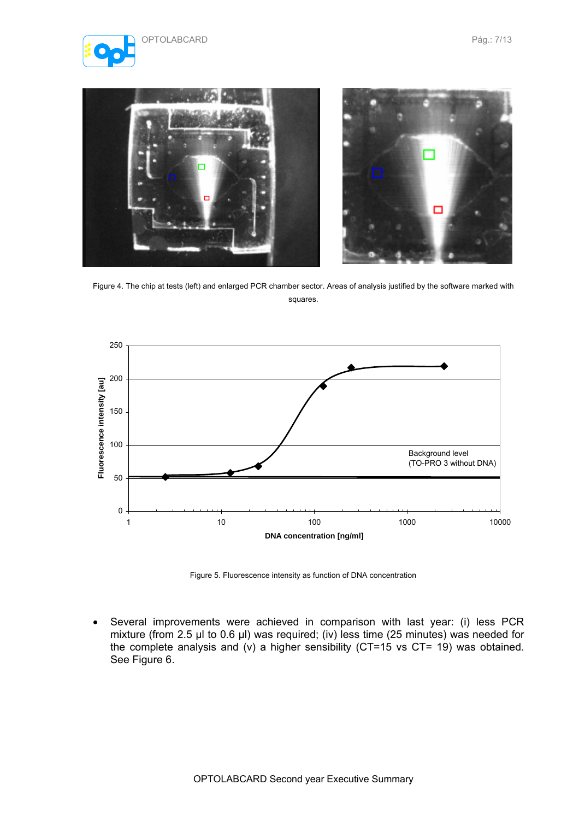





Figure 4. The chip at tests (left) and enlarged PCR chamber sector. Areas of analysis justified by the software marked with squares.



Figure 5. Fluorescence intensity as function of DNA concentration

• Several improvements were achieved in comparison with last year: (i) less PCR mixture (from 2.5 µl to 0.6 µl) was required; (iv) less time (25 minutes) was needed for the complete analysis and (v) a higher sensibility (CT=15 vs CT= 19) was obtained. See Figure 6.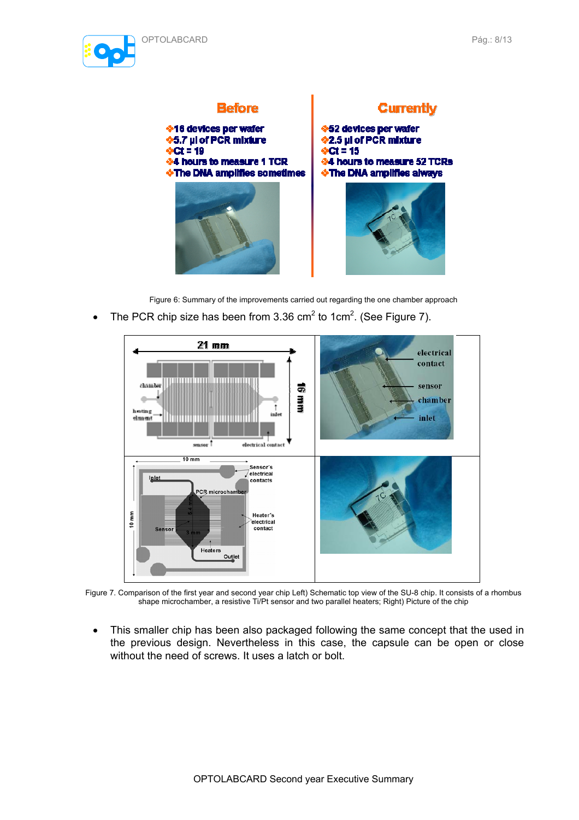





Figure 6: Summary of the improvements carried out regarding the one chamber approach

• The PCR chip size has been from 3.36 cm<sup>2</sup> to 1cm<sup>2</sup>. (See Figure 7).



Figure 7. Comparison of the first year and second year chip Left) Schematic top view of the SU-8 chip. It consists of a rhombus shape microchamber, a resistive Ti/Pt sensor and two parallel heaters; Right) Picture of the chip

• This smaller chip has been also packaged following the same concept that the used in the previous design. Nevertheless in this case, the capsule can be open or close without the need of screws. It uses a latch or bolt.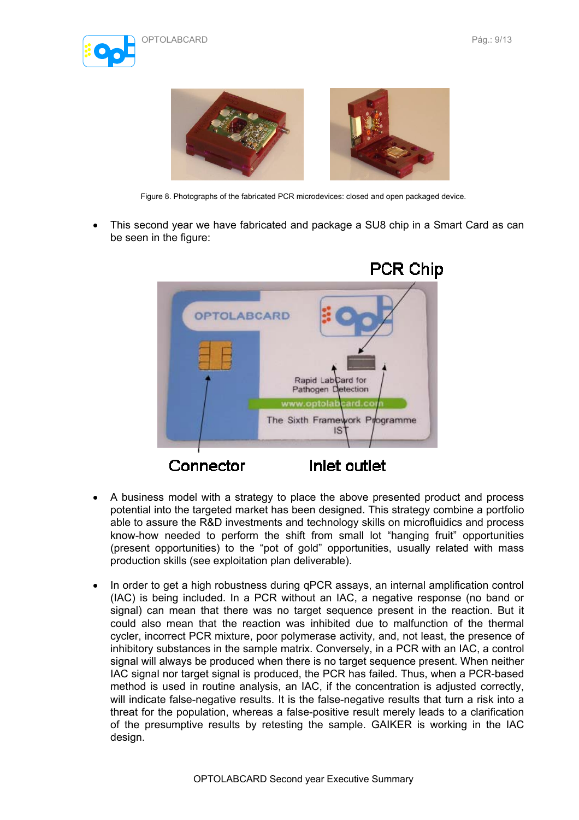



Figure 8. Photographs of the fabricated PCR microdevices: closed and open packaged device.

• This second year we have fabricated and package a SU8 chip in a Smart Card as can be seen in the figure:



- A business model with a strategy to place the above presented product and process potential into the targeted market has been designed. This strategy combine a portfolio able to assure the R&D investments and technology skills on microfluidics and process know-how needed to perform the shift from small lot "hanging fruit" opportunities (present opportunities) to the "pot of gold" opportunities, usually related with mass production skills (see exploitation plan deliverable).
- In order to get a high robustness during qPCR assays, an internal amplification control (IAC) is being included. In a PCR without an IAC, a negative response (no band or signal) can mean that there was no target sequence present in the reaction. But it could also mean that the reaction was inhibited due to malfunction of the thermal cycler, incorrect PCR mixture, poor polymerase activity, and, not least, the presence of inhibitory substances in the sample matrix. Conversely, in a PCR with an IAC, a control signal will always be produced when there is no target sequence present. When neither IAC signal nor target signal is produced, the PCR has failed. Thus, when a PCR-based method is used in routine analysis, an IAC, if the concentration is adjusted correctly, will indicate false-negative results. It is the false-negative results that turn a risk into a threat for the population, whereas a false-positive result merely leads to a clarification of the presumptive results by retesting the sample. GAIKER is working in the IAC design.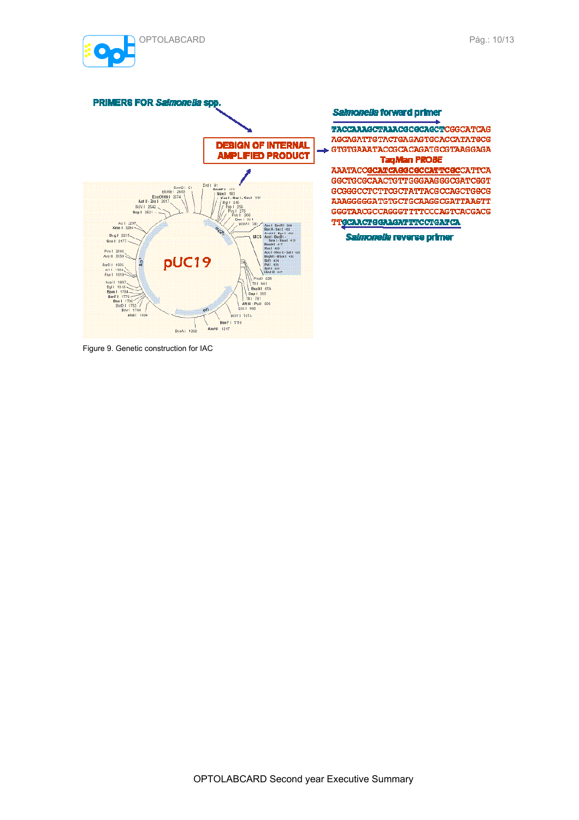



Figure 9. Genetic construction for IAC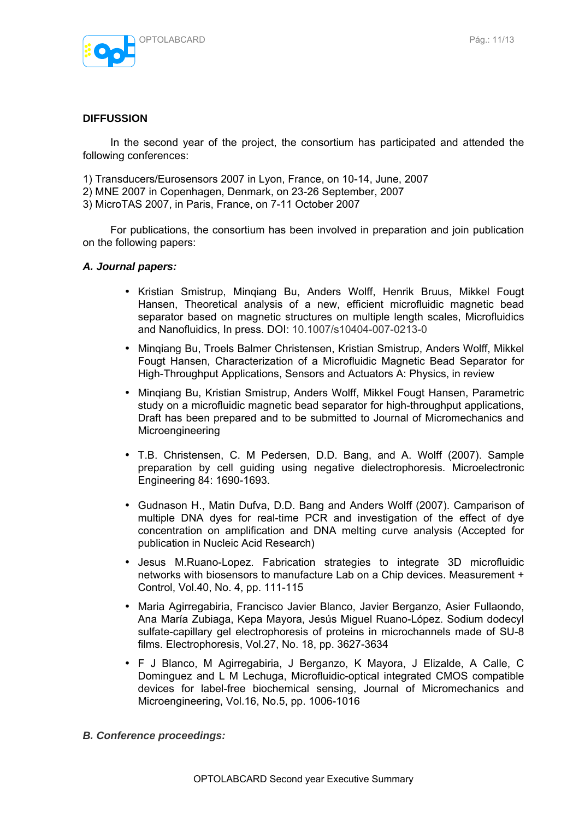

#### **DIFFUSSION**

In the second year of the project, the consortium has participated and attended the following conferences:

- 1) Transducers/Eurosensors 2007 in Lyon, France, on 10-14, June, 2007
- 2) MNE 2007 in Copenhagen, Denmark, on 23-26 September, 2007
- 3) MicroTAS 2007, in Paris, France, on 7-11 October 2007

For publications, the consortium has been involved in preparation and join publication on the following papers:

#### *A. Journal papers:*

- Kristian Smistrup, Minqiang Bu, Anders Wolff, Henrik Bruus, Mikkel Fougt Hansen, Theoretical analysis of a new, efficient microfluidic magnetic bead separator based on magnetic structures on multiple length scales, Microfluidics and Nanofluidics, In press. DOI: 10.1007/s10404-007-0213-0
- Minqiang Bu, Troels Balmer Christensen, Kristian Smistrup, Anders Wolff, Mikkel Fougt Hansen, Characterization of a Microfluidic Magnetic Bead Separator for High-Throughput Applications, Sensors and Actuators A: Physics, in review
- Minqiang Bu, Kristian Smistrup, Anders Wolff, Mikkel Fougt Hansen, Parametric study on a microfluidic magnetic bead separator for high-throughput applications, Draft has been prepared and to be submitted to Journal of Micromechanics and **Microengineering**
- T.B. Christensen, C. M Pedersen, D.D. Bang, and A. Wolff (2007). Sample preparation by cell guiding using negative dielectrophoresis. Microelectronic Engineering 84: 1690-1693.
- Gudnason H., Matin Dufva, D.D. Bang and Anders Wolff (2007). Camparison of multiple DNA dyes for real-time PCR and investigation of the effect of dye concentration on amplification and DNA melting curve analysis (Accepted for publication in Nucleic Acid Research)
- Jesus M.Ruano-Lopez. Fabrication strategies to integrate 3D microfluidic networks with biosensors to manufacture Lab on a Chip devices. Measurement + Control, Vol.40, No. 4, pp. 111-115
- Maria Agirregabiria, Francisco Javier Blanco, Javier Berganzo, Asier Fullaondo, Ana María Zubiaga, Kepa Mayora, Jesús Miguel Ruano-López. Sodium dodecyl sulfate-capillary gel electrophoresis of proteins in microchannels made of SU-8 films. Electrophoresis, Vol.27, No. 18, pp. 3627-3634
- F J Blanco, M Agirregabiria, J Berganzo, K Mayora, J Elizalde, A Calle, C Dominguez and L M Lechuga, Microfluidic-optical integrated CMOS compatible devices for label-free biochemical sensing, Journal of Micromechanics and Microengineering, Vol.16, No.5, pp. 1006-1016

#### *B. Conference proceedings:*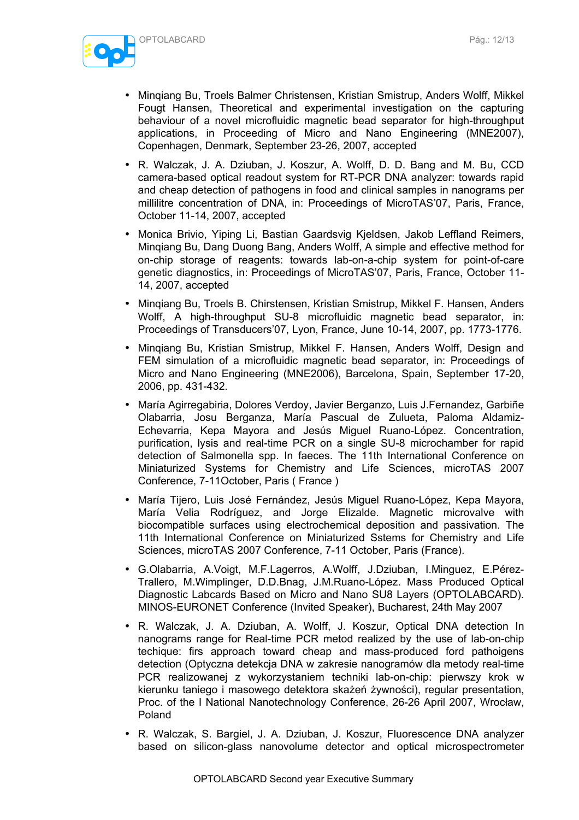

- Minqiang Bu, Troels Balmer Christensen, Kristian Smistrup, Anders Wolff, Mikkel Fougt Hansen, Theoretical and experimental investigation on the capturing behaviour of a novel microfluidic magnetic bead separator for high-throughput applications, in Proceeding of Micro and Nano Engineering (MNE2007), Copenhagen, Denmark, September 23-26, 2007, accepted
- R. Walczak, J. A. Dziuban, J. Koszur, A. Wolff, D. D. Bang and M. Bu, CCD camera-based optical readout system for RT-PCR DNA analyzer: towards rapid and cheap detection of pathogens in food and clinical samples in nanograms per millilitre concentration of DNA, in: Proceedings of MicroTAS'07, Paris, France, October 11-14, 2007, accepted
- Monica Brivio, Yiping Li, Bastian Gaardsvig Kjeldsen, Jakob Leffland Reimers, Minqiang Bu, Dang Duong Bang, Anders Wolff, A simple and effective method for on-chip storage of reagents: towards lab-on-a-chip system for point-of-care genetic diagnostics, in: Proceedings of MicroTAS'07, Paris, France, October 11- 14, 2007, accepted
- Minqiang Bu, Troels B. Chirstensen, Kristian Smistrup, Mikkel F. Hansen, Anders Wolff, A high-throughput SU-8 microfluidic magnetic bead separator, in: Proceedings of Transducers'07, Lyon, France, June 10-14, 2007, pp. 1773-1776.
- Minqiang Bu, Kristian Smistrup, Mikkel F. Hansen, Anders Wolff, Design and FEM simulation of a microfluidic magnetic bead separator, in: Proceedings of Micro and Nano Engineering (MNE2006), Barcelona, Spain, September 17-20, 2006, pp. 431-432.
- María Agirregabiria, Dolores Verdoy, Javier Berganzo, Luis J.Fernandez, Garbiñe Olabarria, Josu Berganza, María Pascual de Zulueta, Paloma Aldamiz-Echevarria, Kepa Mayora and Jesús Miguel Ruano-López. Concentration, purification, lysis and real-time PCR on a single SU-8 microchamber for rapid detection of Salmonella spp. In faeces. The 11th International Conference on Miniaturized Systems for Chemistry and Life Sciences, microTAS 2007 Conference, 7-11October, Paris ( France )
- María Tijero, Luis José Fernández, Jesús Miguel Ruano-López, Kepa Mayora, María Velia Rodríguez, and Jorge Elizalde. Magnetic microvalve with biocompatible surfaces using electrochemical deposition and passivation. The 11th International Conference on Miniaturized Sstems for Chemistry and Life Sciences, microTAS 2007 Conference, 7-11 October, Paris (France).
- G.Olabarria, A.Voigt, M.F.Lagerros, A.Wolff, J.Dziuban, I.Minguez, E.Pérez-Trallero, M.Wimplinger, D.D.Bnag, J.M.Ruano-López. Mass Produced Optical Diagnostic Labcards Based on Micro and Nano SU8 Layers (OPTOLABCARD). MINOS-EURONET Conference (Invited Speaker), Bucharest, 24th May 2007
- R. Walczak, J. A. Dziuban, A. Wolff, J. Koszur, Optical DNA detection In nanograms range for Real-time PCR metod realized by the use of lab-on-chip techique: firs approach toward cheap and mass-produced ford pathoigens detection (Optyczna detekcja DNA w zakresie nanogramów dla metody real-time PCR realizowanej z wykorzystaniem techniki lab-on-chip: pierwszy krok w kierunku taniego i masowego detektora skażeń żywności), regular presentation, Proc. of the I National Nanotechnology Conference, 26-26 April 2007, Wrocław, Poland
- R. Walczak, S. Bargiel, J. A. Dziuban, J. Koszur, Fluorescence DNA analyzer based on silicon-glass nanovolume detector and optical microspectrometer